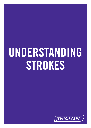# **UNDERSTANDING STROKES**

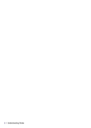2 | Understanding Stroke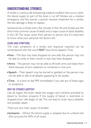# **UNDERSTANDING STROKES**

A stroke is a serious, life-threatening medical condition that occurs when the blood supply to part of the brain is cut off. Strokes are a medical emergency and the sooner a person receives treatment for a stroke, the less damage is likely to happen.

Someone has a stroke every five minutes in the UK, and strokes are the third most common cause of death and a major cause of adult disability in the UK.The cause varies from person to person but it's important to know what your personal risk factors are.

## **SIGNS AND SYMPTOMS**

The main symptoms of a stroke and response required can be remembered with the word FAST: Face-Arms-Speech-Time.

- $\blacktriangleright$  Face The face may have dropped on one side, the person may not be able to smile or their mouth or eye may have dropped.
- **Arms** –The person may not be able to lift both arms and keep them there because of arm weakness or numbness in one arm.
- **Speech** Their speech may be slurred or garbled, or the person may not be able to talk at all despite appearing to be awake.
- $\blacksquare$  Time It is time to dial 999 immediately if you see any of these signs or symptoms.

### **WHY DO STROKES HAPPEN?**

Like all organs, the brain needs the oxygen and nutrients provided by blood to function properly. If the supply of blood is restricted or stopped, brain cells begin to die.This can lead to brain injury, disability and possibly death.

There are two main causes of strokes:

 $\blacksquare$ **Ischaemic** – Where the blood supply is stopped due to a blood clot (this accounts for 85% of all cases)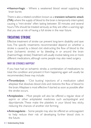$\blacksquare$  Haemorrhagic – Where a weakened blood vessel supplying the brain bursts

There is also a related condition known as a transient ischaemic attack (TIA),where the supply of blood to the brain is temporarily interrupted, causing a 'mini-stroke' often lasting between 30 minutes and several hours.TIAs should be treated seriously as they are often a warning sign that you are at risk of having a full stroke in the near future.

# **TREATING STROKE**

Effective treatment of stroke can prevent long-term disability and save lives. The specific treatments recommended depend on whether a stroke is caused by a blood clot obstructing the flow of blood to the brain (ischaemic stroke) or by bleeding in or around the brain (haemorrhagic stroke).Treatment will usually involve taking one or more different medications, although some people may also need surgery.

## **WHY DO STROKES HAPPEN?**

If you have had an ischaemic stroke, a combination of medications to treat the condition and prevent it from happening again will usually be recommended, these may include:

- **Thrombolysis** 'Clot busting' injections of a medication called alteplase that dissolves blood clots and restores the flow of blood to the brain.Alteplase is most effective if started as soon as possible after the stroke occurs.
- **Antiplatelets** Most people will also be offered a regular dose of aspirin or other antiplatelet medicines such asclopidogrel and dipyridamole. These make the platelets in your blood less sticky, reducing the chances of another clot forming.
- $\blacksquare$  Anticoagulants Some people may also be offered an anticoagulant to help reduce their risk of developing further blood clots in the future.
- 4 | Understanding Stroke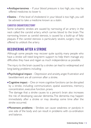- **Antihypertensives** If your blood pressure is too high, you may be offered medicines to lower it.
- $\blacksquare$ Statins If the level of cholesterol in your blood is too high, you will be advised to take a medicine known as a statin.

## **CAROTID ENDARTERECTOMY**

Some ischaemic strokes are caused by narrowing of an artery in the neck called the carotid artery, which carries blood to the brain.The narrowing, known as carotid stenosis, is caused by a build-up of fatty plaques. If the carotid stenosis is particularly severe, surgery may be offered to unblock the artery.

## **RECOVERING AFTER A STROKE**

Although some people may recover quite quickly, many people who have a stroke will need long-term support to help them manage any difficulties they have and regain as much independence as possible.

The injury to the brain caused by a stroke can lead to widespread and long-lasting problems including:

- **Psychological impact** Depression and anxiety, anger, frustration and bewilderment are all common after a stroke.
- $\blacksquare$  Cognitive impact One or more cognitive functions can be disrupted by a stroke, including: communication, spatial awareness, memory, concentration, executive function, praxis.

The damage that a stroke causes to a person's brain also increases the risk of developing vascular dementia.The dementia may happen immediately after a stroke or may develop some time after the stroke occurred.

**Movement problems** – Strokes can cause weakness or paralysis in one side of the body and can result in problems with co-ordination and balance.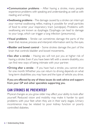- **Communication problems** After having a stroke, many people experience problems with speaking and understanding, as well as with reading and writing.
- **Swallowing problems** The damage caused by a stroke can interrupt your normal swallowing reflex, making it possible for small particles of food to enter your respiratory tract (windpipe). Problems with swallowing are known as dysphagia. Dysphagia can lead to damage to your lungs, which can trigger a lung infection (pneumonia).
- **visual problems** Stroke can sometimes damage the parts of the brain that receive, process and interpret information sent by the eyes.
- $\blacksquare$  Bladder and bowel control Some strokes damage the part of the brain that controls bladder and bowel movements.
- $\Sigma$ sex after a stroke Having sex will not put you at higher risk of having a stroke. Even if you have been left with a severe disability, you can find new ways of being intimate with your partner.
- **Driving after a stroke**  $-$  If you have had a stroke, you cannot drive for one month.Whether you can return to driving depends on what long-term disabilities you may have and the type of vehicle you drive.

If you are effected by any of these issues do seek advice and support from your GP and other specialists supporting you.

# **CAN STROKES BE PREVENTED?**

Physical changes as you grow older may affect your ability to look after yourself. Reduced vision and mobility may make it harder to spot problems with your feet when they are in their early stages. Urinary incontinence may be related to poor kidney function or poorly controlled diabetes.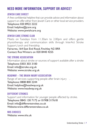# **NEED MORE INFORMATION, SUPPORT OR ADVICE?**

## **JEWISH CARE DIRECT**

A free confidential helpline that can provide advice and information about support on offer either from lewish Care or other local service providers. Telephone: 020 8922 2222 Email: helpline@jcare.org Website: www.jewishcare.org

## **JEWISH CARE STROKE CLUB**

Meets on Tuesdays from 11.30am to 2.00pm and offers gentle physiotherapy and communication skills through InterAct Stroke Support, lunch and friendship.

Fairacres, 164 East End Road, Finchley N2 0RR Contact: RosWinters on 020 8440 4255

## **THE STROKE ASSOCIATION**

Information about stroke or sources of support available after a stroke Telephone: 0303 303 3100 Email: info@stroke.org.uk Website: www.stroke.org.uk

## **HEADWAY – THE BRAIN INJURY ASSOCIATION**

Range of services supporting people after brain injury . Telephone: 0808 800 2244 Email: helpline@headway.org.uk Website: www.headway.org.uk

## **DIFFERENT STROKES**

Support and information for younger people affected by stroke. Telephone: 0845 130 7172 or 01908 317618 Email: info@differentstrokes.co.uk Website:www.differentstrokes.co.uk

### **NHS CHOICES**

Website: www.nhs.uk